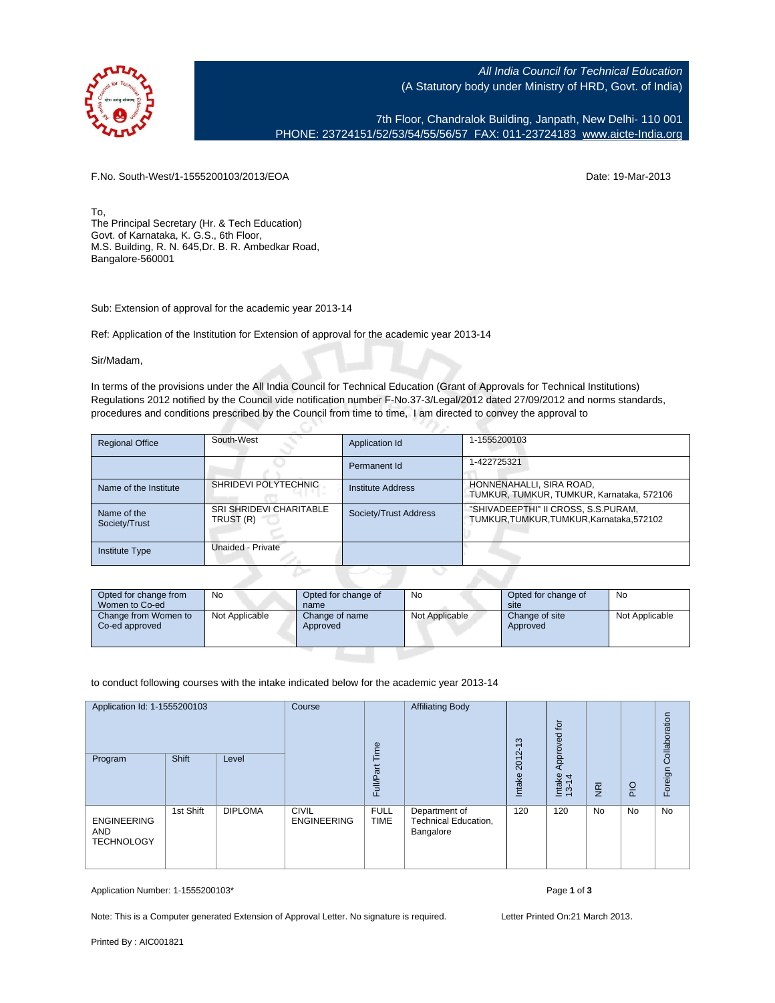

All India Council for Technical Education (A Statutory body under Ministry of HRD, Govt. of India)

7th Floor, Chandralok Building, Janpath, New Delhi- 110 001 PHONE: 23724151/52/53/54/55/56/57 FAX: 011-23724183 [www.aicte-India.org](http://www.aicte-India.org)

F.No. South-West/1-1555200103/2013/EOA Date: 19-Mar-2013

To, The Principal Secretary (Hr. & Tech Education) Govt. of Karnataka, K. G.S., 6th Floor, M.S. Building, R. N. 645,Dr. B. R. Ambedkar Road, Bangalore-560001

Sub: Extension of approval for the academic year 2013-14

Ref: Application of the Institution for Extension of approval for the academic year 2013-14

Sir/Madam,

In terms of the provisions under the All India Council for Technical Education (Grant of Approvals for Technical Institutions) Regulations 2012 notified by the Council vide notification number F-No.37-3/Legal/2012 dated 27/09/2012 and norms standards, procedures and conditions prescribed by the Council from time to time, I am directed to convey the approval to

| <b>Regional Office</b>       | South-West                           | Application Id        | 1-1555200103                                                                     |
|------------------------------|--------------------------------------|-----------------------|----------------------------------------------------------------------------------|
|                              |                                      | Permanent Id          | 1-422725321                                                                      |
| Name of the Institute        | SHRIDEVI POLYTECHNIC                 | Institute Address     | HONNENAHALLI, SIRA ROAD,<br>TUMKUR, TUMKUR, TUMKUR, Karnataka, 572106            |
| Name of the<br>Society/Trust | SRI SHRIDEVI CHARITABLE<br>TRUST (R) | Society/Trust Address | "SHIVADEEPTHI" II CROSS, S.S.PURAM,<br>TUMKUR, TUMKUR, TUMKUR, Karnataka, 572102 |
| <b>Institute Type</b>        | Unaided - Private                    |                       |                                                                                  |

| Opted for change from<br>Women to Co-ed | No             | Opted for change of<br>name | No             | Opted for change of<br>site | No             |  |
|-----------------------------------------|----------------|-----------------------------|----------------|-----------------------------|----------------|--|
| Change from Women to<br>Co-ed approved  | Not Applicable | Change of name<br>Approved  | Not Applicable | Change of site<br>Approved  | Not Applicable |  |

to conduct following courses with the intake indicated below for the academic year 2013-14

| Application Id: 1-1555200103<br>Shift<br>Program<br>Level |           | Course<br>Time | <b>Affiliating Body</b>            | $\frac{3}{2}$<br>2012      | tor<br>Approved                                    |        |                 | Collaboration  |     |         |
|-----------------------------------------------------------|-----------|----------------|------------------------------------|----------------------------|----------------------------------------------------|--------|-----------------|----------------|-----|---------|
|                                                           |           |                |                                    | Full/Part                  |                                                    | Intake | Intake<br>13-14 | $\overline{R}$ | PIO | Foreign |
| <b>ENGINEERING</b><br><b>AND</b><br><b>TECHNOLOGY</b>     | 1st Shift | <b>DIPLOMA</b> | <b>CIVIL</b><br><b>ENGINEERING</b> | <b>FULL</b><br><b>TIME</b> | Department of<br>Technical Education,<br>Bangalore | 120    | 120             | <b>No</b>      | No  | No      |

Application Number: 1-1555200103\* Page **1** of **3**

Note: This is a Computer generated Extension of Approval Letter. No signature is required. Letter Printed On:21 March 2013.

Printed By : AIC001821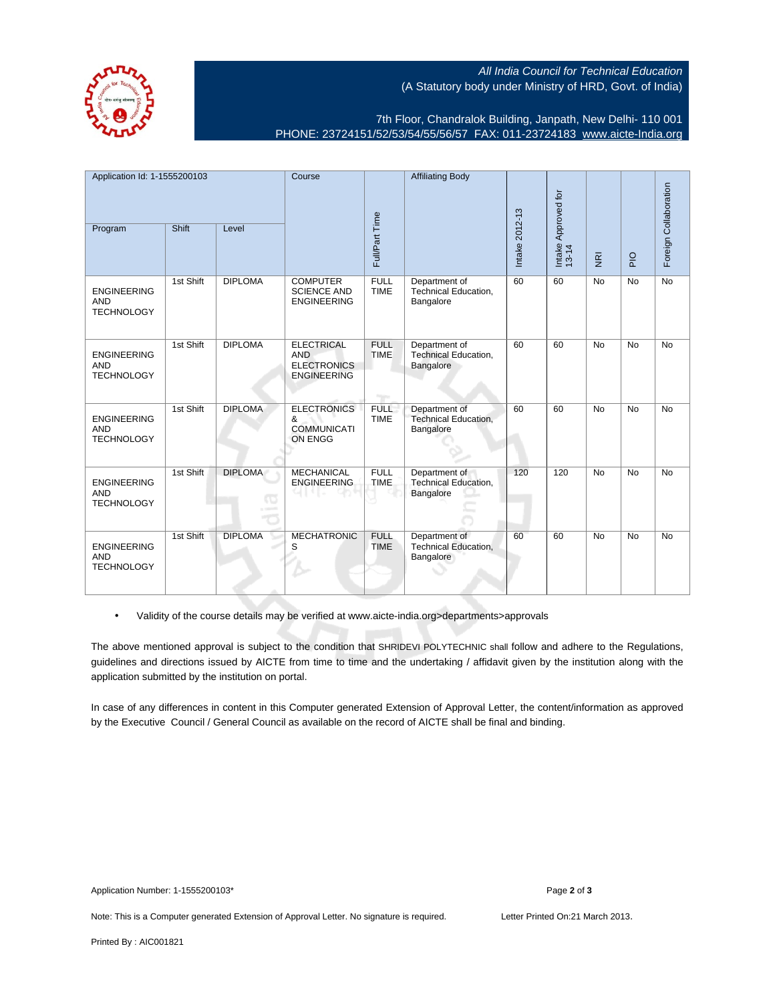All India Council for Technical Education (A Statutory body under Ministry of HRD, Govt. of India)

7th Floor, Chandralok Building, Janpath, New Delhi- 110 001 PHONE: 23724151/52/53/54/55/56/57 FAX: 011-23724183 [www.aicte-India.org](http://www.aicte-India.org)

| Application Id: 1-1555200103                          |           | Course         | <b>Affiliating Body</b>                                                     |                            |                                                           |                |                              | Foreign Collaboration   |             |           |
|-------------------------------------------------------|-----------|----------------|-----------------------------------------------------------------------------|----------------------------|-----------------------------------------------------------|----------------|------------------------------|-------------------------|-------------|-----------|
| Program                                               | Shift     | Level          |                                                                             | Full/Part Time             |                                                           | Intake 2012-13 | Intake Approved for<br>13-14 | $\overline{\mathbf{g}}$ | $rac{Q}{P}$ |           |
| <b>ENGINEERING</b><br><b>AND</b><br><b>TECHNOLOGY</b> | 1st Shift | <b>DIPLOMA</b> | <b>COMPUTER</b><br><b>SCIENCE AND</b><br><b>ENGINEERING</b>                 | <b>FULL</b><br><b>TIME</b> | Department of<br>Technical Education,<br>Bangalore        | 60             | 60                           | <b>No</b>               | <b>No</b>   | <b>No</b> |
| <b>ENGINEERING</b><br><b>AND</b><br><b>TECHNOLOGY</b> | 1st Shift | <b>DIPLOMA</b> | <b>ELECTRICAL</b><br><b>AND</b><br><b>ELECTRONICS</b><br><b>ENGINEERING</b> | <b>FULL</b><br><b>TIME</b> | Department of<br><b>Technical Education,</b><br>Bangalore | 60             | 60                           | <b>No</b>               | <b>No</b>   | <b>No</b> |
| <b>ENGINEERING</b><br><b>AND</b><br><b>TECHNOLOGY</b> | 1st Shift | <b>DIPLOMA</b> | <b>ELECTRONICS</b><br>&<br><b>COMMUNICATI</b><br><b>ON ENGG</b>             | <b>FULL</b><br><b>TIME</b> | Department of<br>Technical Education,<br>Bangalore        | 60             | 60                           | <b>No</b>               | <b>No</b>   | <b>No</b> |
| <b>ENGINEERING</b><br><b>AND</b><br><b>TECHNOLOGY</b> | 1st Shift | <b>DIPLOMA</b> | <b>MECHANICAL</b><br><b>ENGINEERING</b>                                     | <b>FULL</b><br><b>TIME</b> | Department of<br><b>Technical Education,</b><br>Bangalore | 120            | 120                          | <b>No</b>               | <b>No</b>   | <b>No</b> |
| <b>ENGINEERING</b><br><b>AND</b><br><b>TECHNOLOGY</b> | 1st Shift | <b>DIPLOMA</b> | <b>MECHATRONIC</b><br>S                                                     | <b>FULL</b><br><b>TIME</b> | Department of<br>Technical Education,<br>Bangalore        | 60             | 60                           | <b>No</b>               | <b>No</b>   | <b>No</b> |

• Validity of the course details may be verified at www.aicte-india.org>departments>approvals

The above mentioned approval is subject to the condition that SHRIDEVI POLYTECHNIC shall follow and adhere to the Regulations, guidelines and directions issued by AICTE from time to time and the undertaking / affidavit given by the institution along with the application submitted by the institution on portal.

In case of any differences in content in this Computer generated Extension of Approval Letter, the content/information as approved by the Executive Council / General Council as available on the record of AICTE shall be final and binding.